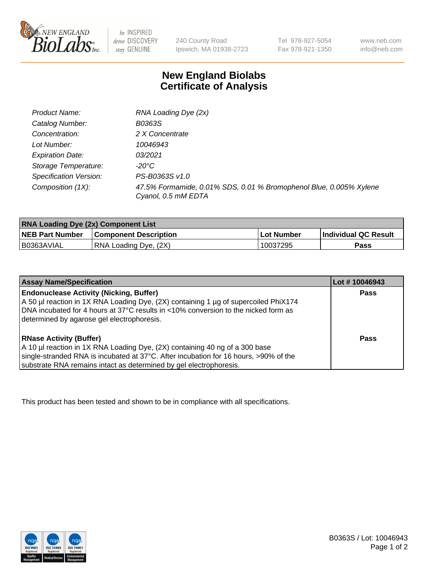

 $be$  INSPIRED drive DISCOVERY stay GENUINE

240 County Road Ipswich, MA 01938-2723 Tel 978-927-5054 Fax 978-921-1350 www.neb.com info@neb.com

## **New England Biolabs Certificate of Analysis**

| Product Name:           | RNA Loading Dye (2x)                                                                      |
|-------------------------|-------------------------------------------------------------------------------------------|
| Catalog Number:         | B0363S                                                                                    |
| Concentration:          | 2 X Concentrate                                                                           |
| Lot Number:             | 10046943                                                                                  |
| <b>Expiration Date:</b> | 03/2021                                                                                   |
| Storage Temperature:    | -20°C                                                                                     |
| Specification Version:  | PS-B0363S v1.0                                                                            |
| Composition (1X):       | 47.5% Formamide, 0.01% SDS, 0.01 % Bromophenol Blue, 0.005% Xylene<br>Cyanol, 0.5 mM EDTA |

| <b>RNA Loading Dye (2x) Component List</b> |                              |            |                             |  |
|--------------------------------------------|------------------------------|------------|-----------------------------|--|
| <b>NEB Part Number</b>                     | <b>Component Description</b> | Lot Number | <b>Individual QC Result</b> |  |
| B0363AVIAL                                 | RNA Loading Dye, (2X)        | 10037295   | Pass                        |  |

| <b>Assay Name/Specification</b>                                                                                                                                                                                                                                             | Lot #10046943 |
|-----------------------------------------------------------------------------------------------------------------------------------------------------------------------------------------------------------------------------------------------------------------------------|---------------|
| <b>Endonuclease Activity (Nicking, Buffer)</b><br>A 50 µl reaction in 1X RNA Loading Dye, (2X) containing 1 µg of supercoiled PhiX174<br>DNA incubated for 4 hours at 37°C results in <10% conversion to the nicked form as<br>determined by agarose gel electrophoresis.   | <b>Pass</b>   |
| <b>RNase Activity (Buffer)</b><br>A 10 µl reaction in 1X RNA Loading Dye, (2X) containing 40 ng of a 300 base<br>single-stranded RNA is incubated at 37°C. After incubation for 16 hours, >90% of the<br>substrate RNA remains intact as determined by gel electrophoresis. | Pass          |

This product has been tested and shown to be in compliance with all specifications.